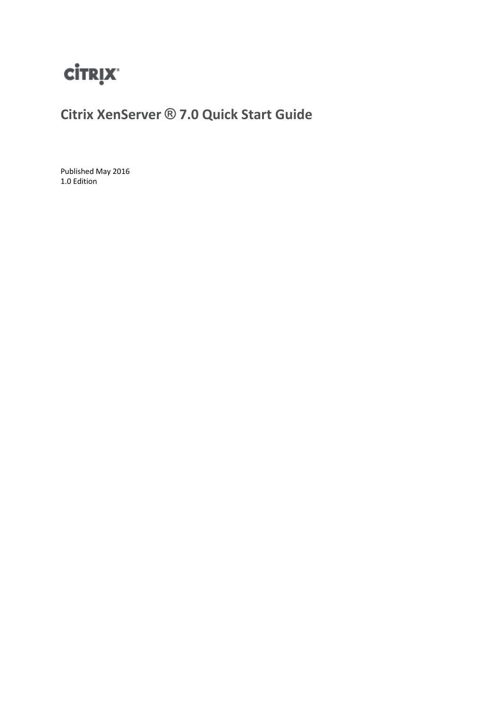

**Citrix XenServer ® 7.0 Quick Start Guide**

Published May 2016 1.0 Edition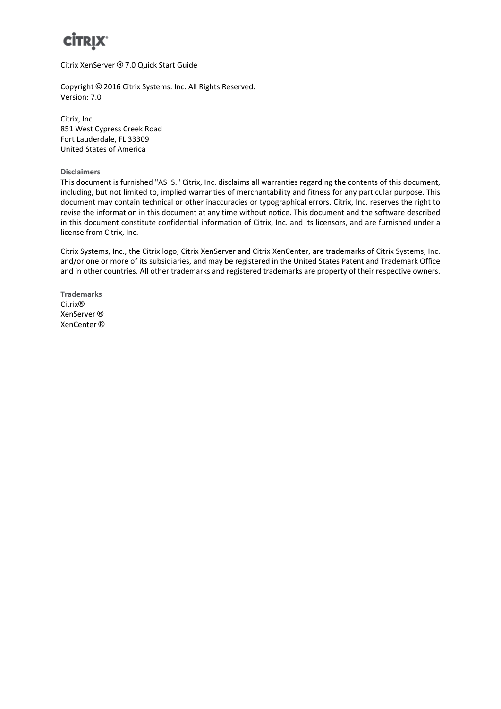

Citrix XenServer ® 7.0 Quick Start Guide

Copyright © 2016 Citrix Systems. Inc. All Rights Reserved. Version: 7.0

Citrix, Inc. 851 West Cypress Creek Road Fort Lauderdale, FL 33309 United States of America

**Disclaimers**

This document is furnished "AS IS." Citrix, Inc. disclaims all warranties regarding the contents of this document, including, but not limited to, implied warranties of merchantability and fitness for any particular purpose. This document may contain technical or other inaccuracies or typographical errors. Citrix, Inc. reserves the right to revise the information in this document at any time without notice. This document and the software described in this document constitute confidential information of Citrix, Inc. and its licensors, and are furnished under a license from Citrix, Inc.

Citrix Systems, Inc., the Citrix logo, Citrix XenServer and Citrix XenCenter, are trademarks of Citrix Systems, Inc. and/or one or more of its subsidiaries, and may be registered in the United States Patent and Trademark Office and in other countries. All other trademarks and registered trademarks are property of their respective owners.

**Trademarks** Citrix® XenServer ® XenCenter ®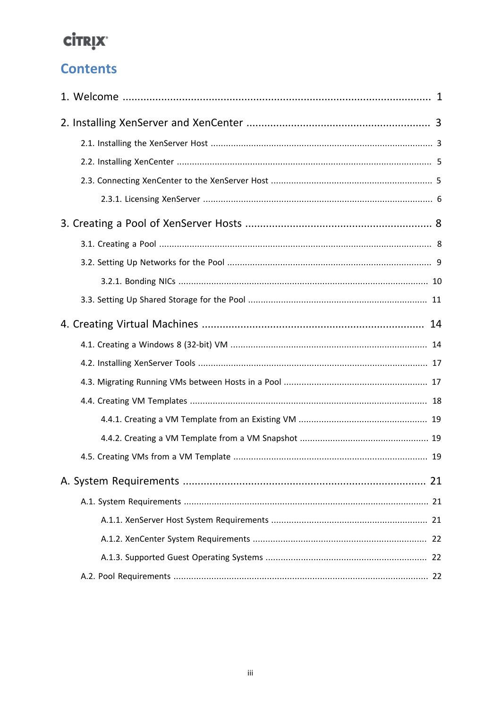### **Contents**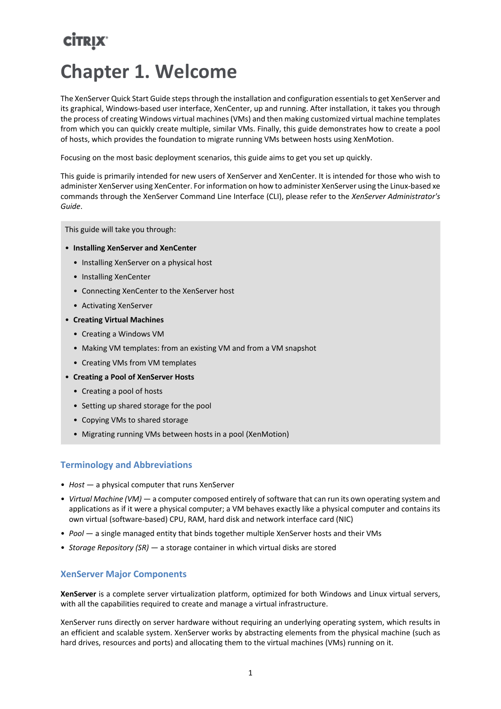# <span id="page-3-0"></span>**CİTRIX Chapter 1. Welcome**

The XenServer Quick Start Guide steps through the installation and configuration essentials to get XenServer and its graphical, Windows-based user interface, XenCenter, up and running. After installation, it takes you through the process of creating Windows virtual machines (VMs) and then making customized virtual machine templates from which you can quickly create multiple, similar VMs. Finally, this guide demonstrates how to create a pool of hosts, which provides the foundation to migrate running VMs between hosts using XenMotion.

Focusing on the most basic deployment scenarios, this guide aims to get you set up quickly.

This guide is primarily intended for new users of XenServer and XenCenter. It is intended for those who wish to administer XenServer using XenCenter. For information on how to administer XenServer using the Linux-based xe commands through the XenServer Command Line Interface (CLI), please refer to the *XenServer Administrator's Guide*.

This guide will take you through:

- **Installing XenServer and XenCenter**
	- Installing XenServer on a physical host
	- Installing XenCenter
	- Connecting XenCenter to the XenServer host
	- Activating XenServer
- **Creating Virtual Machines**
	- Creating a Windows VM
	- Making VM templates: from an existing VM and from a VM snapshot
	- Creating VMs from VM templates
- **Creating a Pool of XenServer Hosts**
	- Creating a pool of hosts
	- Setting up shared storage for the pool
	- Copying VMs to shared storage
	- Migrating running VMs between hosts in a pool (XenMotion)

#### **Terminology and Abbreviations**

- *Host* a physical computer that runs XenServer
- *Virtual Machine (VM)* a computer composed entirely of software that can run its own operating system and applications as if it were a physical computer; a VM behaves exactly like a physical computer and contains its own virtual (software-based) CPU, RAM, hard disk and network interface card (NIC)
- *Pool* a single managed entity that binds together multiple XenServer hosts and their VMs
- *Storage Repository (SR)* a storage container in which virtual disks are stored

#### **XenServer Major Components**

**XenServer** is a complete server virtualization platform, optimized for both Windows and Linux virtual servers, with all the capabilities required to create and manage a virtual infrastructure.

XenServer runs directly on server hardware without requiring an underlying operating system, which results in an efficient and scalable system. XenServer works by abstracting elements from the physical machine (such as hard drives, resources and ports) and allocating them to the virtual machines (VMs) running on it.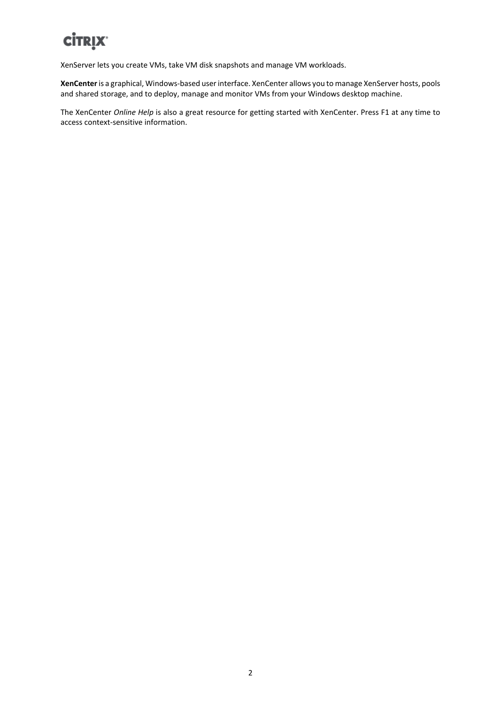XenServer lets you create VMs, take VM disk snapshots and manage VM workloads.

**XenCenter** is a graphical, Windows-based user interface. XenCenter allows you to manage XenServer hosts, pools and shared storage, and to deploy, manage and monitor VMs from your Windows desktop machine.

The XenCenter *Online Help* is also a great resource for getting started with XenCenter. Press F1 at any time to access context-sensitive information.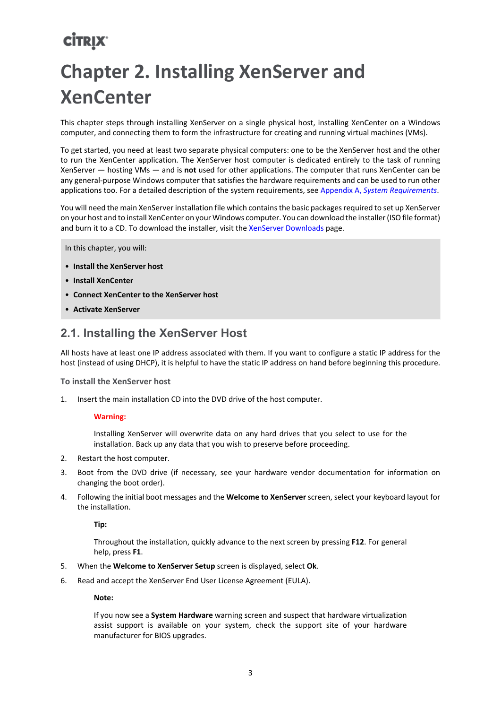# <span id="page-5-0"></span>**Chapter 2. Installing XenServer and XenCenter**

This chapter steps through installing XenServer on a single physical host, installing XenCenter on a Windows computer, and connecting them to form the infrastructure for creating and running virtual machines (VMs).

To get started, you need at least two separate physical computers: one to be the XenServer host and the other to run the XenCenter application. The XenServer host computer is dedicated entirely to the task of running XenServer — hosting VMs — and is **not** used for other applications. The computer that runs XenCenter can be any general-purpose Windows computer that satisfies the hardware requirements and can be used to run other applications too. For a detailed description of the system requirements, see Appendix A, *[System Requirements](#page-23-0)*.

You will need the main XenServer installation file which contains the basic packages required to set up XenServer on your host and to install XenCenter on your Windows computer. You can download the installer (ISO file format) and burn it to a CD. To download the installer, visit the [XenServer Downloads](https://www.citrix.com/downloads/xenserver/product-software.html) page.

In this chapter, you will:

- **Install the XenServer host**
- **Install XenCenter**
- **Connect XenCenter to the XenServer host**
- **Activate XenServer**

### <span id="page-5-1"></span>**2.1. Installing the XenServer Host**

All hosts have at least one IP address associated with them. If you want to configure a static IP address for the host (instead of using DHCP), it is helpful to have the static IP address on hand before beginning this procedure.

**To install the XenServer host**

1. Insert the main installation CD into the DVD drive of the host computer.

#### **Warning:**

Installing XenServer will overwrite data on any hard drives that you select to use for the installation. Back up any data that you wish to preserve before proceeding.

- 2. Restart the host computer.
- 3. Boot from the DVD drive (if necessary, see your hardware vendor documentation for information on changing the boot order).
- 4. Following the initial boot messages and the **Welcome to XenServer** screen, select your keyboard layout for the installation.

**Tip:**

Throughout the installation, quickly advance to the next screen by pressing **F12**. For general help, press **F1**.

- 5. When the **Welcome to XenServer Setup** screen is displayed, select **Ok**.
- 6. Read and accept the XenServer End User License Agreement (EULA).

**Note:**

If you now see a **System Hardware** warning screen and suspect that hardware virtualization assist support is available on your system, check the support site of your hardware manufacturer for BIOS upgrades.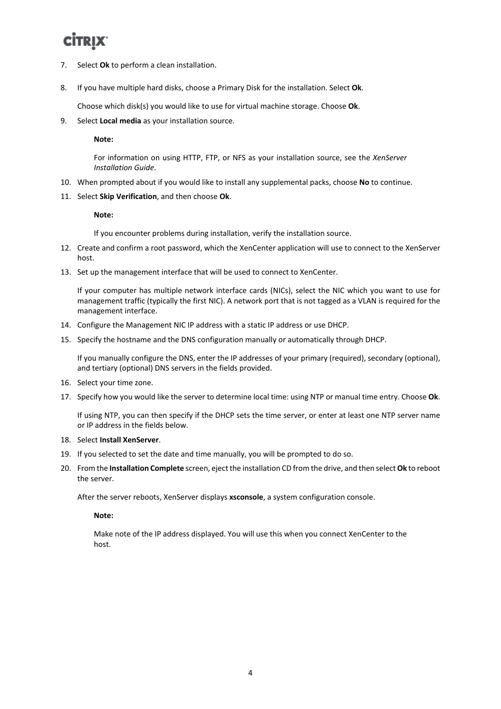- 7. Select **Ok** to perform a clean installation.
- 8. If you have multiple hard disks, choose a Primary Disk for the installation. Select **Ok**.

Choose which disk(s) you would like to use for virtual machine storage. Choose **Ok**.

9. Select **Local media** as your installation source.

**Note:**

For information on using HTTP, FTP, or NFS as your installation source, see the *XenServer Installation Guide*.

- 10. When prompted about if you would like to install any supplemental packs, choose **No** to continue.
- 11. Select **Skip Verification**, and then choose **Ok**.

#### **Note:**

If you encounter problems during installation, verify the installation source.

- 12. Create and confirm a root password, which the XenCenter application will use to connect to the XenServer host.
- 13. Set up the management interface that will be used to connect to XenCenter.

If your computer has multiple network interface cards (NICs), select the NIC which you want to use for management traffic (typically the first NIC). A network port that is not tagged as a VLAN is required for the management interface.

- 14. Configure the Management NIC IP address with a static IP address or use DHCP.
- 15. Specify the hostname and the DNS configuration manually or automatically through DHCP.

If you manually configure the DNS, enter the IP addresses of your primary (required), secondary (optional), and tertiary (optional) DNS servers in the fields provided.

- 16. Select your time zone.
- 17. Specify how you would like the server to determine local time: using NTP or manual time entry. Choose **Ok**.

If using NTP, you can then specify if the DHCP sets the time server, or enter at least one NTP server name or IP address in the fields below.

- 18. Select **Install XenServer**.
- 19. If you selected to set the date and time manually, you will be prompted to do so.
- 20. From the **Installation Complete** screen, eject the installation CD from the drive, and then select **Ok** to reboot the server.

After the server reboots, XenServer displays **xsconsole**, a system configuration console.

**Note:**

Make note of the IP address displayed. You will use this when you connect XenCenter to the host.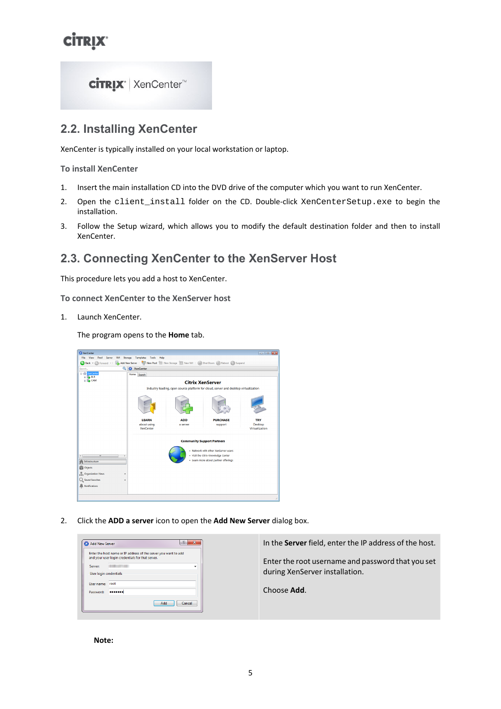

### <span id="page-7-0"></span>**2.2. Installing XenCenter**

XenCenter is typically installed on your local workstation or laptop.

**To install XenCenter**

- 1. Insert the main installation CD into the DVD drive of the computer which you want to run XenCenter.
- 2. Open the client\_install folder on the CD. Double-click XenCenterSetup.exe to begin the installation.
- 3. Follow the Setup wizard, which allows you to modify the default destination folder and then to install XenCenter.

### <span id="page-7-1"></span>**2.3. Connecting XenCenter to the XenServer Host**

This procedure lets you add a host to XenCenter.

**To connect XenCenter to the XenServer host**

1. Launch XenCenter.

The program opens to the **Home** tab.



2. Click the **ADD a server** icon to open the **Add New Server** dialog box.



**Note:**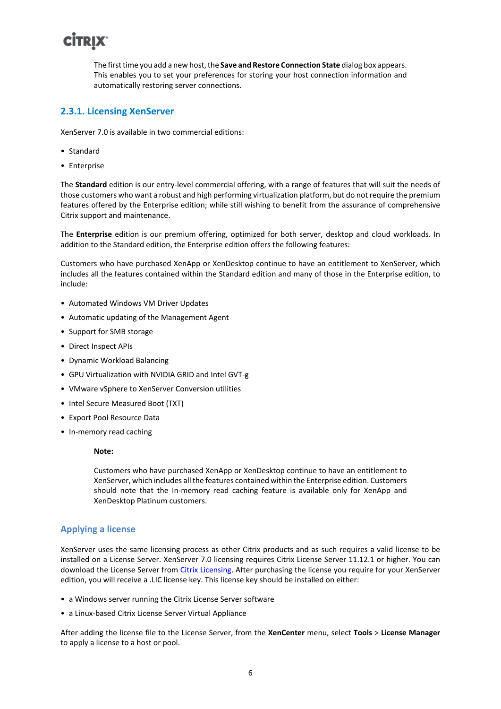The first time you add a new host, the **Save and Restore Connection State** dialog box appears. This enables you to set your preferences for storing your host connection information and automatically restoring server connections.

#### <span id="page-8-0"></span>**2.3.1. Licensing XenServer**

XenServer 7.0 is available in two commercial editions:

- Standard
- Enterprise

The **Standard** edition is our entry-level commercial offering, with a range of features that will suit the needs of those customers who want a robust and high performing virtualization platform, but do not require the premium features offered by the Enterprise edition; while still wishing to benefit from the assurance of comprehensive Citrix support and maintenance.

The **Enterprise** edition is our premium offering, optimized for both server, desktop and cloud workloads. In addition to the Standard edition, the Enterprise edition offers the following features:

Customers who have purchased XenApp or XenDesktop continue to have an entitlement to XenServer, which includes all the features contained within the Standard edition and many of those in the Enterprise edition, to include:

- Automated Windows VM Driver Updates
- Automatic updating of the Management Agent
- Support for SMB storage
- Direct Inspect APIs
- Dynamic Workload Balancing
- GPU Virtualization with NVIDIA GRID and Intel GVT-g
- VMware vSphere to XenServer Conversion utilities
- Intel Secure Measured Boot (TXT)
- Export Pool Resource Data
- In-memory read caching

#### **Note:**

Customers who have purchased XenApp or XenDesktop continue to have an entitlement to XenServer, which includes all the features contained within the Enterprise edition. Customers should note that the In-memory read caching feature is available only for XenApp and XenDesktop Platinum customers.

#### **Applying a license**

XenServer uses the same licensing process as other Citrix products and as such requires a valid license to be installed on a License Server. XenServer 7.0 licensing requires Citrix License Server 11.12.1 or higher. You can download the License Server from [Citrix Licensing](http://www.citrix.com/downloads/licensing/license-server.html). After purchasing the license you require for your XenServer edition, you will receive a .LIC license key. This license key should be installed on either:

- a Windows server running the Citrix License Server software
- a Linux-based Citrix License Server Virtual Appliance

After adding the license file to the License Server, from the **XenCenter** menu, select **Tools** > **License Manager** to apply a license to a host or pool.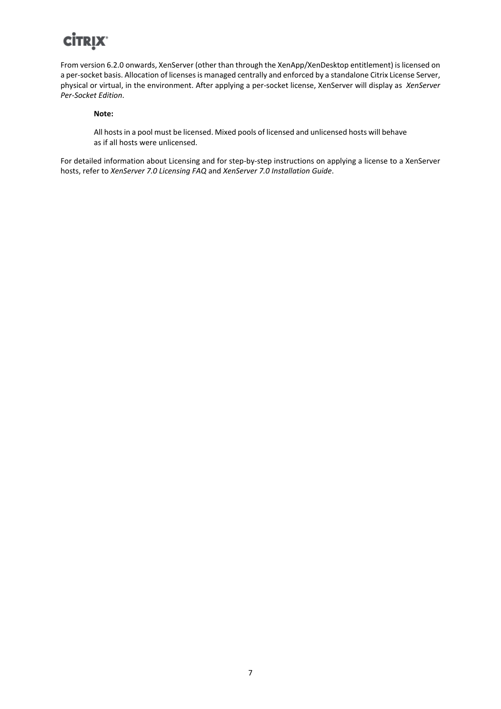From version 6.2.0 onwards, XenServer (other than through the XenApp/XenDesktop entitlement) is licensed on a per-socket basis. Allocation of licenses is managed centrally and enforced by a standalone Citrix License Server, physical or virtual, in the environment. After applying a per-socket license, XenServer will display as *XenServer Per-Socket Edition*.

#### **Note:**

All hosts in a pool must be licensed. Mixed pools of licensed and unlicensed hosts will behave as if all hosts were unlicensed.

For detailed information about Licensing and for step-by-step instructions on applying a license to a XenServer hosts, refer to *XenServer 7.0 Licensing FAQ* and *XenServer 7.0 Installation Guide*.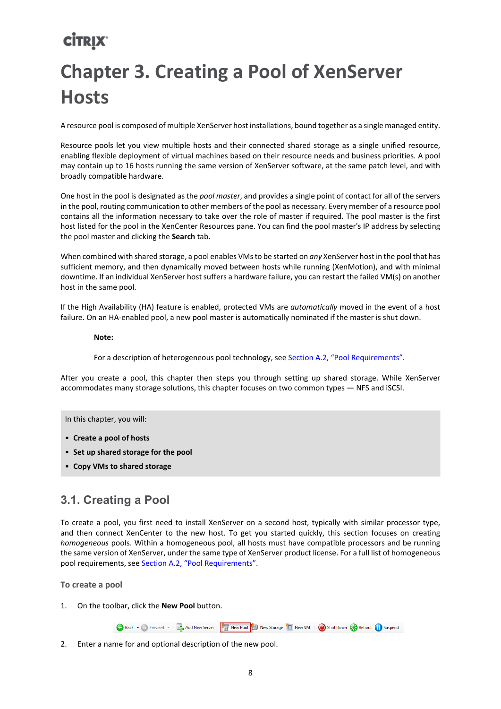# <span id="page-10-0"></span>**CİTRIX' Chapter 3. Creating a Pool of XenServer Hosts**

A resource pool is composed of multiple XenServer host installations, bound together as a single managed entity.

Resource pools let you view multiple hosts and their connected shared storage as a single unified resource, enabling flexible deployment of virtual machines based on their resource needs and business priorities. A pool may contain up to 16 hosts running the same version of XenServer software, at the same patch level, and with broadly compatible hardware.

One host in the pool is designated as the *pool master*, and provides a single point of contact for all of the servers in the pool, routing communication to other members of the pool as necessary. Every member of a resource pool contains all the information necessary to take over the role of master if required. The pool master is the first host listed for the pool in the XenCenter Resources pane. You can find the pool master's IP address by selecting the pool master and clicking the **Search** tab.

When combined with shared storage, a pool enables VMs to be started on *any* XenServer host in the pool that has sufficient memory, and then dynamically moved between hosts while running (XenMotion), and with minimal downtime. If an individual XenServer host suffers a hardware failure, you can restart the failed VM(s) on another host in the same pool.

If the High Availability (HA) feature is enabled, protected VMs are *automatically* moved in the event of a host failure. On an HA-enabled pool, a new pool master is automatically nominated if the master is shut down.

**Note:**

For a description of heterogeneous pool technology, see [Section A.2, "Pool Requirements".](#page-24-2)

After you create a pool, this chapter then steps you through setting up shared storage. While XenServer accommodates many storage solutions, this chapter focuses on two common types — NFS and iSCSI.

In this chapter, you will:

- **Create a pool of hosts**
- **Set up shared storage for the pool**
- <span id="page-10-1"></span>• **Copy VMs to shared storage**

### **3.1. Creating a Pool**

To create a pool, you first need to install XenServer on a second host, typically with similar processor type, and then connect XenCenter to the new host. To get you started quickly, this section focuses on creating *homogeneous* pools. Within a homogeneous pool, all hosts must have compatible processors and be running the same version of XenServer, under the same type of XenServer product license. For a full list of homogeneous pool requirements, see [Section A.2, "Pool Requirements"](#page-24-2).

**To create a pool**

1. On the toolbar, click the **New Pool** button.

Back + Forward + | Badd New Server | | | | | | | | New Pool | | | New Storage | | | New VM | | | Shut Down | | Reboot | | Suspend

2. Enter a name for and optional description of the new pool.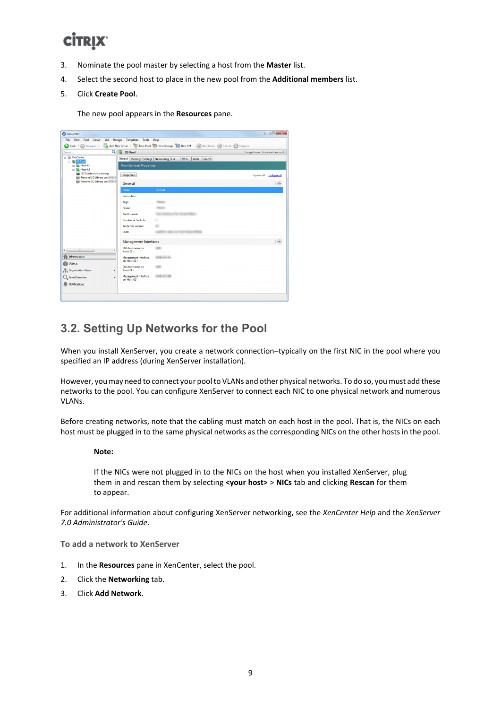- 3. Nominate the pool master by selecting a host from the **Master** list.
- 4. Select the second host to place in the new pool from the **Additional members** list.

#### 5. Click **Create Pool**.

The new pool appears in the **Resources** pane.

| $\begin{array}{c c c c c c} \hline \multicolumn{3}{c }{\mathbf{0}} & \multicolumn{3}{c }{\mathbf{X}} \end{array}$<br>XenCenter |                                       |                                                                                                                |                                  |
|--------------------------------------------------------------------------------------------------------------------------------|---------------------------------------|----------------------------------------------------------------------------------------------------------------|----------------------------------|
| File<br>View<br>Pool Server<br>Storage Templates<br>VM<br>Tools<br>Help                                                        |                                       |                                                                                                                |                                  |
|                                                                                                                                |                                       | Back + C Forward +   2 Add New Server   2   New Pool   New Storage   1 New VM   @ Shut Down @ Reboot   Suspend |                                  |
| $\mathbf{Q}$<br>Search                                                                                                         | <b>XS Pool</b>                        |                                                                                                                | Logged in as: Local root account |
| □ <<br>XenCenter                                                                                                               | General Memory Storage Networking HA  | <b>WLB</b><br><b>Users</b><br>Search                                                                           |                                  |
| 日 <mark>特</mark> XS Pool<br><b>ED</b> Host-01                                                                                  | <b>Pool General Properties</b>        |                                                                                                                |                                  |
| <b>In The Host-02</b><br>is iSCSI virtual disk storage                                                                         |                                       |                                                                                                                |                                  |
| Remote ISO Library on:                                                                                                         | <b>Properties</b>                     |                                                                                                                | Expand all Collapse all          |
| Remote ISO Library on:                                                                                                         | General                               |                                                                                                                | ◉                                |
|                                                                                                                                | Name:                                 | <b>XS Pool</b>                                                                                                 |                                  |
|                                                                                                                                | <b>Description:</b>                   |                                                                                                                |                                  |
|                                                                                                                                | Tags:                                 | <b>FRAUDS</b>                                                                                                  |                                  |
|                                                                                                                                | <b>Folder:</b>                        |                                                                                                                |                                  |
|                                                                                                                                | <b>Pool License:</b>                  |                                                                                                                |                                  |
|                                                                                                                                | Number of Sockets:                    | ٠                                                                                                              |                                  |
|                                                                                                                                | <b>XenServer version:</b>             |                                                                                                                |                                  |
|                                                                                                                                | UUID:                                 |                                                                                                                |                                  |
|                                                                                                                                | <b>Management Interfaces</b>          |                                                                                                                | $\odot$                          |
| $\leftarrow$<br>$\mathbf{m}$<br>٠                                                                                              | DNS hostname on<br>'Host-02':         |                                                                                                                |                                  |
| Infrastructure<br>ñ<br>Objects                                                                                                 | Management interface<br>on 'Host-02': |                                                                                                                |                                  |
| Organization Views<br>٠                                                                                                        | <b>DNS</b> hostname on<br>'Host-01':  |                                                                                                                |                                  |
| C. Saved Searches                                                                                                              | Management interface<br>on 'Host-01': |                                                                                                                |                                  |
| Notifications                                                                                                                  |                                       |                                                                                                                |                                  |
|                                                                                                                                |                                       |                                                                                                                | зă                               |
|                                                                                                                                |                                       |                                                                                                                |                                  |

### <span id="page-11-0"></span>**3.2. Setting Up Networks for the Pool**

When you install XenServer, you create a network connection-typically on the first NIC in the pool where you specified an IP address (during XenServer installation).

However, you may need to connect your pool to VLANs and other physical networks. To do so, you must add these networks to the pool. You can configure XenServer to connect each NIC to one physical network and numerous VLANs.

Before creating networks, note that the cabling must match on each host in the pool. That is, the NICs on each host must be plugged in to the same physical networks as the corresponding NICs on the other hosts in the pool.

#### **Note:**

If the NICs were not plugged in to the NICs on the host when you installed XenServer, plug them in and rescan them by selecting **<your host>** > **NICs** tab and clicking **Rescan** for them to appear.

For additional information about configuring XenServer networking, see the *XenCenter Help* and the *XenServer 7.0 Administrator's Guide*.

**To add a network to XenServer**

- 1. In the **Resources** pane in XenCenter, select the pool.
- 2. Click the **Networking** tab.
- 3. Click **Add Network**.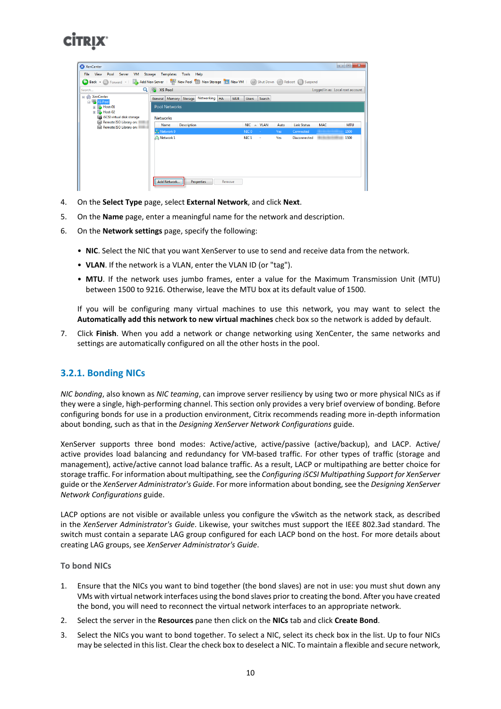| XenCenter                                                          |                                                                                                            |                                               |                            | $\Box$ $\Box$<br>$\mathbf{x}$    |
|--------------------------------------------------------------------|------------------------------------------------------------------------------------------------------------|-----------------------------------------------|----------------------------|----------------------------------|
| View<br>Pool Server<br><b>VM</b><br>File                           | Storage Templates Tools<br>Help                                                                            |                                               |                            |                                  |
|                                                                    | Back • C Forward •   2 Add New Server   4 New Pool T New Storage   New YM   O Shut Down C Reboot   Suspend |                                               |                            |                                  |
| Q<br>Search                                                        | 喝<br><b>XS Pool</b>                                                                                        |                                               |                            | Logged in as: Local root account |
| <b>El XenCenter</b>                                                | Networking   HA<br><b>WLB</b><br>General Memory Storage                                                    | Search<br><b>Users</b>                        |                            |                                  |
| □ <mark>影</mark> XS Pool<br>$\boxplus$ Host-01<br><b>E</b> Host-02 | <b>Pool Networks</b>                                                                                       |                                               |                            |                                  |
| iSCSI virtual disk storage                                         | <b>Networks</b>                                                                                            |                                               |                            |                                  |
| Remote ISO Library on:<br>◒<br>Remote ISO Library on:              | <b>Description</b><br>Name                                                                                 | <b>NIC</b><br><b>VLAN</b><br>$\blacktriangle$ | <b>Link Status</b><br>Auto | <b>MTU</b><br><b>MAC</b>         |
|                                                                    | Network 0                                                                                                  | NIC <sub>0</sub><br>÷                         | Connected<br>Yes           | 1500                             |
|                                                                    | A Network 1                                                                                                | NIC <sub>1</sub><br>٠                         | Yes<br><b>Disconnected</b> | 1500                             |
|                                                                    |                                                                                                            |                                               |                            |                                  |
|                                                                    |                                                                                                            |                                               |                            |                                  |
|                                                                    |                                                                                                            |                                               |                            |                                  |
|                                                                    |                                                                                                            |                                               |                            |                                  |
|                                                                    |                                                                                                            |                                               |                            |                                  |
|                                                                    | Add Network<br><b>Properties</b><br>Remove                                                                 |                                               |                            |                                  |

- 4. On the **Select Type** page, select **External Network**, and click **Next**.
- 5. On the **Name** page, enter a meaningful name for the network and description.
- 6. On the **Network settings** page, specify the following:
	- **NIC**. Select the NIC that you want XenServer to use to send and receive data from the network.
	- **VLAN**. If the network is a VLAN, enter the VLAN ID (or "tag").
	- **MTU**. If the network uses jumbo frames, enter a value for the Maximum Transmission Unit (MTU) between 1500 to 9216. Otherwise, leave the MTU box at its default value of 1500.

If you will be configuring many virtual machines to use this network, you may want to select the **Automatically add this network to new virtual machines** check box so the network is added by default.

7. Click **Finish**. When you add a network or change networking using XenCenter, the same networks and settings are automatically configured on all the other hosts in the pool.

#### <span id="page-12-0"></span>**3.2.1. Bonding NICs**

*NIC bonding*, also known as *NIC teaming*, can improve server resiliency by using two or more physical NICs as if they were a single, high-performing channel. This section only provides a very brief overview of bonding. Before configuring bonds for use in a production environment, Citrix recommends reading more in-depth information about bonding, such as that in the *Designing XenServer Network Configurations* guide.

XenServer supports three bond modes: Active/active, active/passive (active/backup), and LACP. Active/ active provides load balancing and redundancy for VM-based traffic. For other types of traffic (storage and management), active/active cannot load balance traffic. As a result, LACP or multipathing are better choice for storage traffic. For information about multipathing, see the *Configuring iSCSI Multipathing Support for XenServer* guide or the *XenServer Administrator's Guide*. For more information about bonding, see the *Designing XenServer Network Configurations* guide.

LACP options are not visible or available unless you configure the vSwitch as the network stack, as described in the *XenServer Administrator's Guide*. Likewise, your switches must support the IEEE 802.3ad standard. The switch must contain a separate LAG group configured for each LACP bond on the host. For more details about creating LAG groups, see *XenServer Administrator's Guide*.

#### **To bond NICs**

- 1. Ensure that the NICs you want to bind together (the bond slaves) are not in use: you must shut down any VMs with virtual network interfaces using the bond slaves prior to creating the bond. After you have created the bond, you will need to reconnect the virtual network interfaces to an appropriate network.
- 2. Select the server in the **Resources** pane then click on the **NICs** tab and click **Create Bond**.
- 3. Select the NICs you want to bond together. To select a NIC, select its check box in the list. Up to four NICs may be selected in this list. Clear the check box to deselect a NIC. To maintain a flexible and secure network,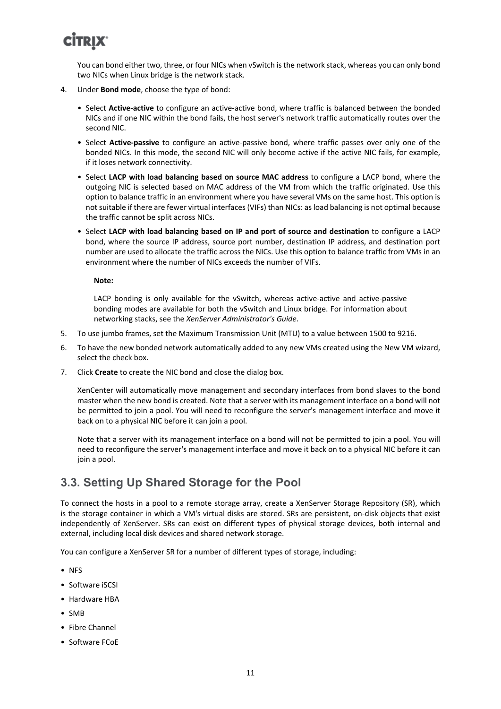You can bond either two, three, or four NICs when vSwitch is the network stack, whereas you can only bond two NICs when Linux bridge is the network stack.

- 4. Under **Bond mode**, choose the type of bond:
	- Select **Active-active** to configure an active-active bond, where traffic is balanced between the bonded NICs and if one NIC within the bond fails, the host server's network traffic automatically routes over the second NIC.
	- Select **Active-passive** to configure an active-passive bond, where traffic passes over only one of the bonded NICs. In this mode, the second NIC will only become active if the active NIC fails, for example, if it loses network connectivity.
	- Select **LACP with load balancing based on source MAC address** to configure a LACP bond, where the outgoing NIC is selected based on MAC address of the VM from which the traffic originated. Use this option to balance traffic in an environment where you have several VMs on the same host. This option is not suitable if there are fewer virtual interfaces (VIFs) than NICs: as load balancing is not optimal because the traffic cannot be split across NICs.
	- Select **LACP with load balancing based on IP and port of source and destination** to configure a LACP bond, where the source IP address, source port number, destination IP address, and destination port number are used to allocate the traffic across the NICs. Use this option to balance traffic from VMs in an environment where the number of NICs exceeds the number of VIFs.

**Note:**

LACP bonding is only available for the vSwitch, whereas active-active and active-passive bonding modes are available for both the vSwitch and Linux bridge. For information about networking stacks, see the *XenServer Administrator's Guide*.

- 5. To use jumbo frames, set the Maximum Transmission Unit (MTU) to a value between 1500 to 9216.
- 6. To have the new bonded network automatically added to any new VMs created using the New VM wizard, select the check box.
- 7. Click **Create** to create the NIC bond and close the dialog box.

XenCenter will automatically move management and secondary interfaces from bond slaves to the bond master when the new bond is created. Note that a server with its management interface on a bond will not be permitted to join a pool. You will need to reconfigure the server's management interface and move it back on to a physical NIC before it can join a pool.

Note that a server with its management interface on a bond will not be permitted to join a pool. You will need to reconfigure the server's management interface and move it back on to a physical NIC before it can join a pool.

### <span id="page-13-0"></span>**3.3. Setting Up Shared Storage for the Pool**

To connect the hosts in a pool to a remote storage array, create a XenServer Storage Repository (SR), which is the storage container in which a VM's virtual disks are stored. SRs are persistent, on-disk objects that exist independently of XenServer. SRs can exist on different types of physical storage devices, both internal and external, including local disk devices and shared network storage.

You can configure a XenServer SR for a number of different types of storage, including:

- NFS
- Software iSCSI
- Hardware HBA
- SMB
- Fibre Channel
- Software FCoE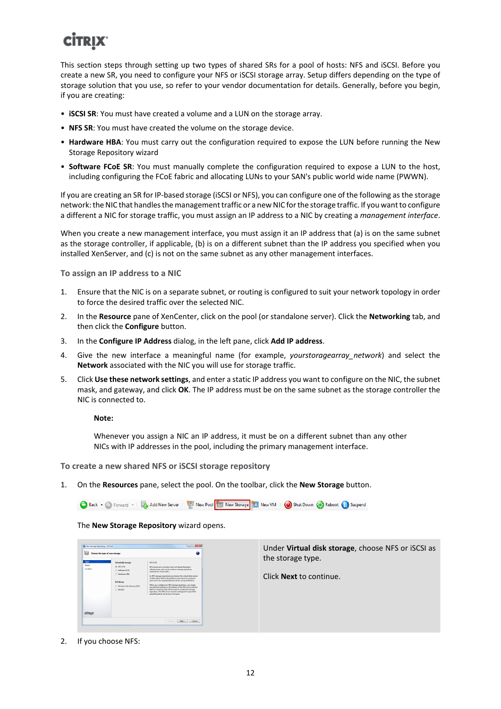This section steps through setting up two types of shared SRs for a pool of hosts: NFS and iSCSI. Before you create a new SR, you need to configure your NFS or iSCSI storage array. Setup differs depending on the type of storage solution that you use, so refer to your vendor documentation for details. Generally, before you begin, if you are creating:

- **iSCSI SR**: You must have created a volume and a LUN on the storage array.
- **NFS SR**: You must have created the volume on the storage device.
- **Hardware HBA**: You must carry out the configuration required to expose the LUN before running the New Storage Repository wizard
- **Software FCoE SR**: You must manually complete the configuration required to expose a LUN to the host, including configuring the FCoE fabric and allocating LUNs to your SAN's public world wide name (PWWN).

If you are creating an SR for IP-based storage (iSCSI or NFS), you can configure one of the following as the storage network: the NIC that handles the management traffic or a new NIC for the storage traffic. If you want to configure a different a NIC for storage traffic, you must assign an IP address to a NIC by creating a *management interface*.

When you create a new management interface, you must assign it an IP address that (a) is on the same subnet as the storage controller, if applicable, (b) is on a different subnet than the IP address you specified when you installed XenServer, and (c) is not on the same subnet as any other management interfaces.

**To assign an IP address to a NIC**

- 1. Ensure that the NIC is on a separate subnet, or routing is configured to suit your network topology in order to force the desired traffic over the selected NIC.
- 2. In the **Resource** pane of XenCenter, click on the pool (or standalone server). Click the **Networking** tab, and then click the **Configure** button.
- 3. In the **Configure IP Address** dialog, in the left pane, click **Add IP address**.
- 4. Give the new interface a meaningful name (for example, *yourstoragearray network*) and select the **Network** associated with the NIC you will use for storage traffic.
- 5. Click **Use these network settings**, and enter a static IP address you want to configure on the NIC, the subnet mask, and gateway, and click **OK**. The IP address must be on the same subnet as the storage controller the NIC is connected to.

#### **Note:**

Whenever you assign a NIC an IP address, it must be on a different subnet than any other NICs with IP addresses in the pool, including the primary management interface.

**To create a new shared NFS or iSCSI storage repository**

1. On the **Resources** pane, select the pool. On the toolbar, click the **New Storage** button.

● Back • ● Forward • I Da Add New Server | | | | New Pool | | New Storage | | | New VM | ● Shut Down ● Reboot ● Suspend

The **New Storage Repository** wizard opens.

| Alew Storage Repository - XS Pool<br>Choose the type of new storage |                                                                                                                                           | <b>COLLECT</b><br>$\mathbf{r}$<br>๏                                                                                                                                                                                                                                                                                                                                                                                                                                                                                                                                                                                                                        | Under Virtual disk storage, choose NFS or iSCSI as  |
|---------------------------------------------------------------------|-------------------------------------------------------------------------------------------------------------------------------------------|------------------------------------------------------------------------------------------------------------------------------------------------------------------------------------------------------------------------------------------------------------------------------------------------------------------------------------------------------------------------------------------------------------------------------------------------------------------------------------------------------------------------------------------------------------------------------------------------------------------------------------------------------------|-----------------------------------------------------|
| Type<br>Name<br>Location                                            | <b>Virtual disk storage</b><br>@ NFS VHD<br>Seftware (SCS)<br>Herdware HBA<br><b>ISO Brary</b><br>Windows File Sharing (CIFS)<br>@ NESISO | AFS VHD<br>NFS serves are a common form of shared filecystem<br>infrastructure, and can be used as a storage repository<br>substant for virtual disks.<br>As NFS storage repositories are shared, the virtual disks stored<br>in them allow White be started on any server in a resource<br>pool and to be migrated between them using XenMotion.<br>When you configure an NFS storage repository, you simply<br>provide the hostname or IP address of the NFS server and the<br>path to a directory that will be used to contain the storage<br>repository. The NFS server must be configured to export the<br>specified path to all servers in the pool. | the storage type.<br>Click <b>Next</b> to continue. |
| <b>CİTRIX</b>                                                       |                                                                                                                                           | - Previous Next ><br>Cancel                                                                                                                                                                                                                                                                                                                                                                                                                                                                                                                                                                                                                                |                                                     |

2. If you choose NFS: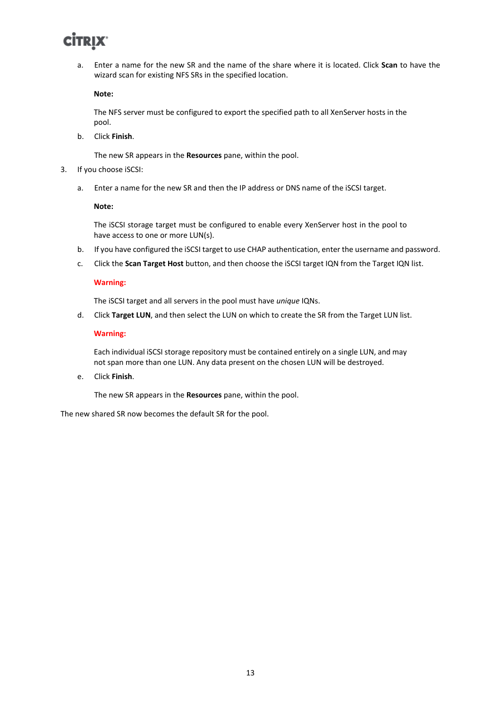a. Enter a name for the new SR and the name of the share where it is located. Click **Scan** to have the wizard scan for existing NFS SRs in the specified location.

**Note:**

The NFS server must be configured to export the specified path to all XenServer hosts in the pool.

b. Click **Finish**.

The new SR appears in the **Resources** pane, within the pool.

- 3. If you choose iSCSI:
	- a. Enter a name for the new SR and then the IP address or DNS name of the iSCSI target.

**Note:**

The iSCSI storage target must be configured to enable every XenServer host in the pool to have access to one or more LUN(s).

- b. If you have configured the iSCSI target to use CHAP authentication, enter the username and password.
- c. Click the **Scan Target Host** button, and then choose the iSCSI target IQN from the Target IQN list.

#### **Warning:**

The iSCSI target and all servers in the pool must have *unique* IQNs.

d. Click **Target LUN**, and then select the LUN on which to create the SR from the Target LUN list.

#### **Warning:**

Each individual iSCSI storage repository must be contained entirely on a single LUN, and may not span more than one LUN. Any data present on the chosen LUN will be destroyed.

e. Click **Finish**.

The new SR appears in the **Resources** pane, within the pool.

The new shared SR now becomes the default SR for the pool.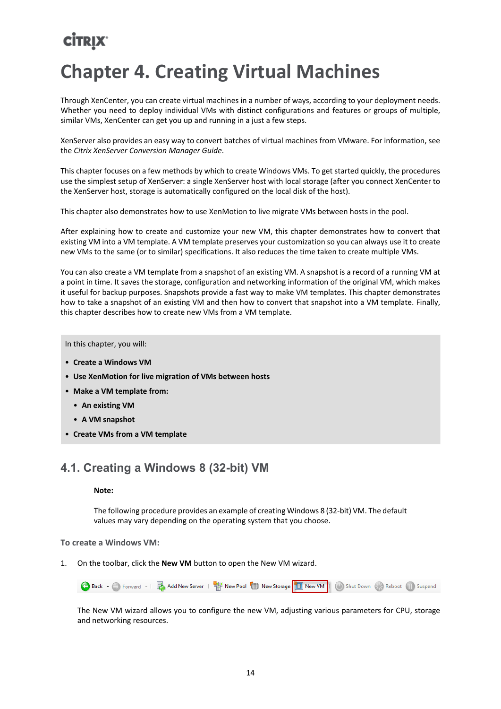## <span id="page-16-0"></span>**Chapter 4. Creating Virtual Machines**

Through XenCenter, you can create virtual machines in a number of ways, according to your deployment needs. Whether you need to deploy individual VMs with distinct configurations and features or groups of multiple, similar VMs, XenCenter can get you up and running in a just a few steps.

XenServer also provides an easy way to convert batches of virtual machines from VMware. For information, see the *Citrix XenServer Conversion Manager Guide*.

This chapter focuses on a few methods by which to create Windows VMs. To get started quickly, the procedures use the simplest setup of XenServer: a single XenServer host with local storage (after you connect XenCenter to the XenServer host, storage is automatically configured on the local disk of the host).

This chapter also demonstrates how to use XenMotion to live migrate VMs between hosts in the pool.

After explaining how to create and customize your new VM, this chapter demonstrates how to convert that existing VM into a VM template. A VM template preserves your customization so you can always use it to create new VMs to the same (or to similar) specifications. It also reduces the time taken to create multiple VMs.

You can also create a VM template from a snapshot of an existing VM. A snapshot is a record of a running VM at a point in time. It saves the storage, configuration and networking information of the original VM, which makes it useful for backup purposes. Snapshots provide a fast way to make VM templates. This chapter demonstrates how to take a snapshot of an existing VM and then how to convert that snapshot into a VM template. Finally, this chapter describes how to create new VMs from a VM template.

In this chapter, you will:

- **Create a Windows VM**
- **Use XenMotion for live migration of VMs between hosts**
- **Make a VM template from:**
	- **An existing VM**
	- **A VM snapshot**
- <span id="page-16-1"></span>• **Create VMs from a VM template**

### **4.1. Creating a Windows 8 (32-bit) VM**

#### **Note:**

The following procedure provides an example of creating Windows 8 (32-bit) VM. The default values may vary depending on the operating system that you choose.

**To create a Windows VM:**

1. On the toolbar, click the **New VM** button to open the New VM wizard.



The New VM wizard allows you to configure the new VM, adjusting various parameters for CPU, storage and networking resources.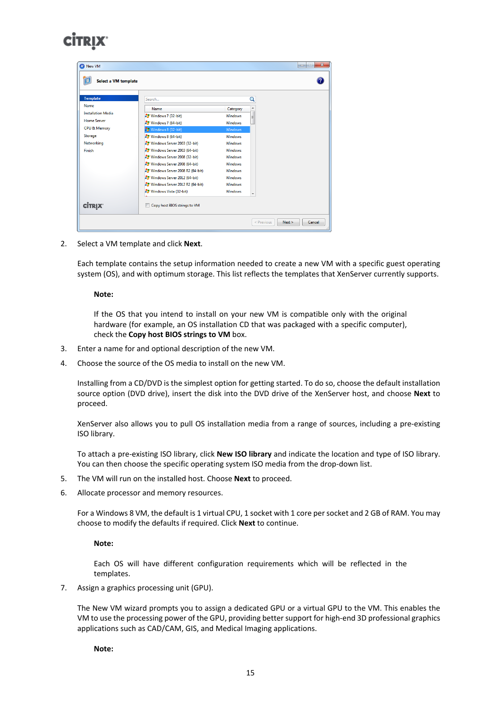| <b>Template</b>           | Search                           |                | Q |
|---------------------------|----------------------------------|----------------|---|
| Name                      | Name                             | Category       |   |
| <b>Installation Media</b> | $\frac{B}{2}$ Windows 7 (32-bit) | <b>Windows</b> | Ε |
| <b>Home Server</b>        | $\frac{1}{2}$ Windows 7 (64-bit) | <b>Windows</b> |   |
| CPU & Memory              | Windows 8 (32-bit)               | <b>Windows</b> |   |
| Storage                   | $\frac{1}{2}$ Windows 8 (64-bit) | <b>Windows</b> |   |
| Networking                | Windows Server 2003 (32-bit)     | <b>Windows</b> |   |
| Finish                    | Windows Server 2003 (64-bit)     | <b>Windows</b> |   |
|                           | Windows Server 2008 (32-bit)     | <b>Windows</b> |   |
|                           | Windows Server 2008 (64-bit)     | <b>Windows</b> |   |
|                           | Windows Server 2008 R2 (64-bit)  | <b>Windows</b> |   |
|                           | Windows Server 2012 (64-bit)     | <b>Windows</b> |   |
|                           | Windows Server 2012 R2 (64-bit)  | <b>Windows</b> |   |
|                           | Windows Vista (32-bit)           | <b>Windows</b> |   |
|                           |                                  |                |   |
| <b>CİTRIX</b>             | Copy host BIOS strings to VM     |                |   |

2. Select a VM template and click **Next**.

Each template contains the setup information needed to create a new VM with a specific guest operating system (OS), and with optimum storage. This list reflects the templates that XenServer currently supports.

#### **Note:**

If the OS that you intend to install on your new VM is compatible only with the original hardware (for example, an OS installation CD that was packaged with a specific computer), check the **Copy host BIOS strings to VM** box.

- 3. Enter a name for and optional description of the new VM.
- 4. Choose the source of the OS media to install on the new VM.

Installing from a CD/DVD is the simplest option for getting started. To do so, choose the default installation source option (DVD drive), insert the disk into the DVD drive of the XenServer host, and choose **Next** to proceed.

XenServer also allows you to pull OS installation media from a range of sources, including a pre-existing ISO library.

To attach a pre-existing ISO library, click **New ISO library** and indicate the location and type of ISO library. You can then choose the specific operating system ISO media from the drop-down list.

- 5. The VM will run on the installed host. Choose **Next** to proceed.
- 6. Allocate processor and memory resources.

For a Windows 8 VM, the default is 1 virtual CPU, 1 socket with 1 core per socket and 2 GB of RAM. You may choose to modify the defaults if required. Click **Next** to continue.

#### **Note:**

Each OS will have different configuration requirements which will be reflected in the templates.

7. Assign a graphics processing unit (GPU).

The New VM wizard prompts you to assign a dedicated GPU or a virtual GPU to the VM. This enables the VM to use the processing power of the GPU, providing better support for high-end 3D professional graphics applications such as CAD/CAM, GIS, and Medical Imaging applications.

**Note:**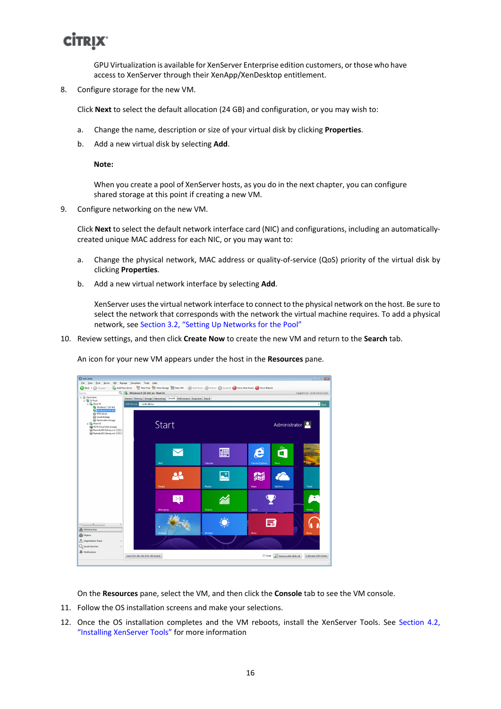GPU Virtualization is available for XenServer Enterprise edition customers, or those who have access to XenServer through their XenApp/XenDesktop entitlement.

8. Configure storage for the new VM.

Click **Next** to select the default allocation (24 GB) and configuration, or you may wish to:

- a. Change the name, description or size of your virtual disk by clicking **Properties**.
- b. Add a new virtual disk by selecting **Add**.

**Note:**

When you create a pool of XenServer hosts, as you do in the next chapter, you can configure shared storage at this point if creating a new VM.

9. Configure networking on the new VM.

Click **Next** to select the default network interface card (NIC) and configurations, including an automaticallycreated unique MAC address for each NIC, or you may want to:

- a. Change the physical network, MAC address or quality-of-service (QoS) priority of the virtual disk by clicking **Properties**.
- b. Add a new virtual network interface by selecting **Add**.

XenServer uses the virtual network interface to connect to the physical network on the host. Be sure to select the network that corresponds with the network the virtual machine requires. To add a physical network, see [Section 3.2, "Setting Up Networks for the Pool"](#page-11-0)

10. Review settings, and then click **Create Now** to create the new VM and return to the **Search** tab.

**THE New YM**  $\omega$ 局) ..<br>ɪs 8 (32-bit) on 'Host-01' Start Administrator<sup>2</sup>  $\bf \nabla$ 圃 e Ő  $22$  $\mathbb{Z}^*$ 着 P  $\mathbf \Psi$  $\left| \cdot \right|$ 葡  $\ddot{\ddot{\psi}}$ 日 Scale Jundock (Alt+Shift+U) + Alt+ Del (Ctrl+ Alt+ Insert)

An icon for your new VM appears under the host in the **Resources** pane.

On the **Resources** pane, select the VM, and then click the **Console** tab to see the VM console.

- 11. Follow the OS installation screens and make your selections.
- 12. Once the OS installation completes and the VM reboots, install the XenServer Tools. See [Section 4.2,](#page-19-0) ["Installing XenServer Tools"](#page-19-0) for more information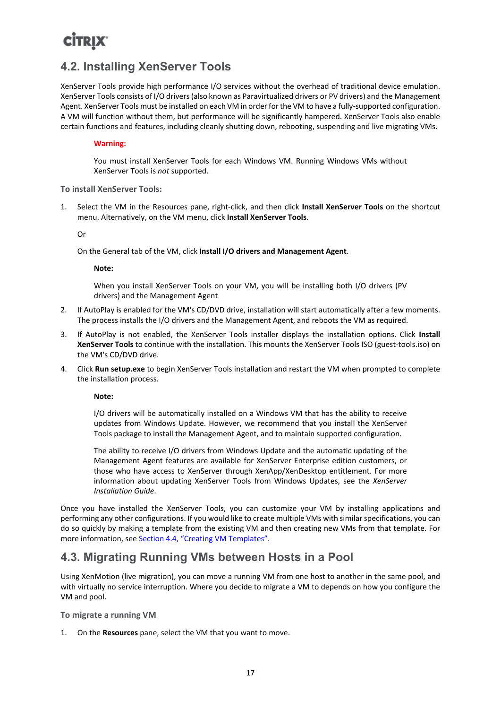### <span id="page-19-0"></span>**4.2. Installing XenServer Tools**

XenServer Tools provide high performance I/O services without the overhead of traditional device emulation. XenServer Tools consists of I/O drivers (also known as Paravirtualized drivers or PV drivers) and the Management Agent. XenServer Tools must be installed on each VM in order for the VM to have a fully-supported configuration. A VM will function without them, but performance will be significantly hampered. XenServer Tools also enable certain functions and features, including cleanly shutting down, rebooting, suspending and live migrating VMs.

#### **Warning:**

You must install XenServer Tools for each Windows VM. Running Windows VMs without XenServer Tools is *not* supported.

**To install XenServer Tools:**

1. Select the VM in the Resources pane, right-click, and then click **Install XenServer Tools** on the shortcut menu. Alternatively, on the VM menu, click **Install XenServer Tools**.

Or

On the General tab of the VM, click **Install I/O drivers and Management Agent**.

**Note:**

When you install XenServer Tools on your VM, you will be installing both I/O drivers (PV drivers) and the Management Agent

- 2. If AutoPlay is enabled for the VM's CD/DVD drive, installation will start automatically after a few moments. The process installs the I/O drivers and the Management Agent, and reboots the VM as required.
- 3. If AutoPlay is not enabled, the XenServer Tools installer displays the installation options. Click **Install XenServer Tools** to continue with the installation. This mounts the XenServer Tools ISO (guest-tools.iso) on the VM's CD/DVD drive.
- 4. Click **Run setup.exe** to begin XenServer Tools installation and restart the VM when prompted to complete the installation process.

**Note:**

I/O drivers will be automatically installed on a Windows VM that has the ability to receive updates from Windows Update. However, we recommend that you install the XenServer Tools package to install the Management Agent, and to maintain supported configuration.

The ability to receive I/O drivers from Windows Update and the automatic updating of the Management Agent features are available for XenServer Enterprise edition customers, or those who have access to XenServer through XenApp/XenDesktop entitlement. For more information about updating XenServer Tools from Windows Updates, see the *XenServer Installation Guide*.

Once you have installed the XenServer Tools, you can customize your VM by installing applications and performing any other configurations. If you would like to create multiple VMs with similar specifications, you can do so quickly by making a template from the existing VM and then creating new VMs from that template. For more information, see [Section 4.4, "Creating VM Templates"](#page-20-0).

### <span id="page-19-1"></span>**4.3. Migrating Running VMs between Hosts in a Pool**

Using XenMotion (live migration), you can move a running VM from one host to another in the same pool, and with virtually no service interruption. Where you decide to migrate a VM to depends on how you configure the VM and pool.

**To migrate a running VM**

1. On the **Resources** pane, select the VM that you want to move.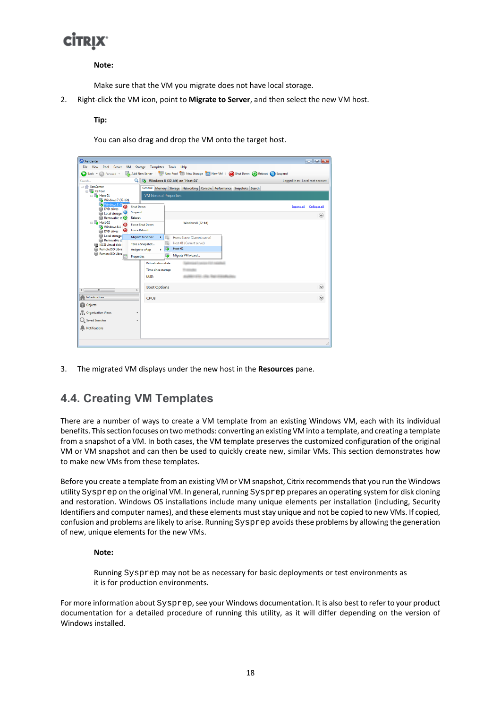#### **Note:**

Make sure that the VM you migrate does not have local storage.

2. Right-click the VM icon, point to **Migrate to Server**, and then select the new VM host.

#### **Tip:**

You can also drag and drop the VM onto the target host.



<span id="page-20-0"></span>3. The migrated VM displays under the new host in the **Resources** pane.

### **4.4. Creating VM Templates**

There are a number of ways to create a VM template from an existing Windows VM, each with its individual benefits. This section focuses on two methods: converting an existing VM into a template, and creating a template from a snapshot of a VM. In both cases, the VM template preserves the customized configuration of the original VM or VM snapshot and can then be used to quickly create new, similar VMs. This section demonstrates how to make new VMs from these templates.

Before you create a template from an existing VM or VM snapshot, Citrix recommends that you run the Windows utility Sysprep on the original VM. In general, running Sysprep prepares an operating system for disk cloning and restoration. Windows OS installations include many unique elements per installation (including, Security Identifiers and computer names), and these elements must stay unique and not be copied to new VMs. If copied, confusion and problems are likely to arise. Running Sysprep avoids these problems by allowing the generation of new, unique elements for the new VMs.

#### **Note:**

Running Sysprep may not be as necessary for basic deployments or test environments as it is for production environments.

For more information about Sysprep, see your Windows documentation. It is also best to refer to your product documentation for a detailed procedure of running this utility, as it will differ depending on the version of Windows installed.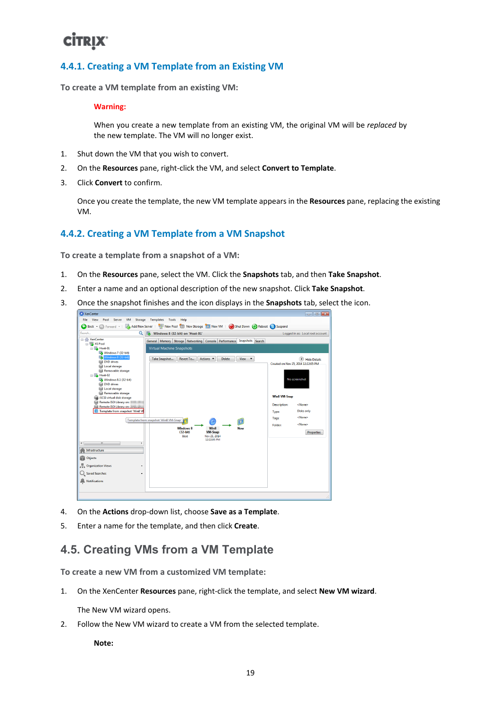### <span id="page-21-0"></span>**4.4.1. Creating a VM Template from an Existing VM**

**To create a VM template from an existing VM:**

#### **Warning:**

When you create a new template from an existing VM, the original VM will be *replaced* by the new template. The VM will no longer exist.

- 1. Shut down the VM that you wish to convert.
- 2. On the **Resources** pane, right-click the VM, and select **Convert to Template**.
- 3. Click **Convert** to confirm.

Once you create the template, the new VM template appears in the **Resources** pane, replacing the existing VM.

#### <span id="page-21-1"></span>**4.4.2. Creating a VM Template from a VM Snapshot**

**To create a template from a snapshot of a VM:**

- 1. On the **Resources** pane, select the VM. Click the **Snapshots** tab, and then **Take Snapshot**.
- 2. Enter a name and an optional description of the new snapshot. Click **Take Snapshot**.
- 3. Once the snapshot finishes and the icon displays in the **Snapshots** tab, select the icon.



- 4. On the **Actions** drop-down list, choose **Save as a Template**.
- <span id="page-21-2"></span>5. Enter a name for the template, and then click **Create**.

### **4.5. Creating VMs from a VM Template**

**To create a new VM from a customized VM template:**

1. On the XenCenter **Resources** pane, right-click the template, and select **New VM wizard**.

The New VM wizard opens.

2. Follow the New VM wizard to create a VM from the selected template.

**Note:**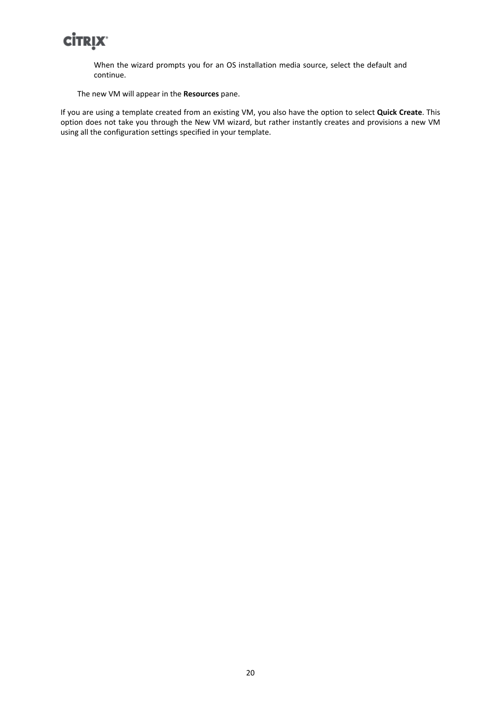When the wizard prompts you for an OS installation media source, select the default and continue.

The new VM will appear in the **Resources** pane.

If you are using a template created from an existing VM, you also have the option to select **Quick Create**. This option does not take you through the New VM wizard, but rather instantly creates and provisions a new VM using all the configuration settings specified in your template.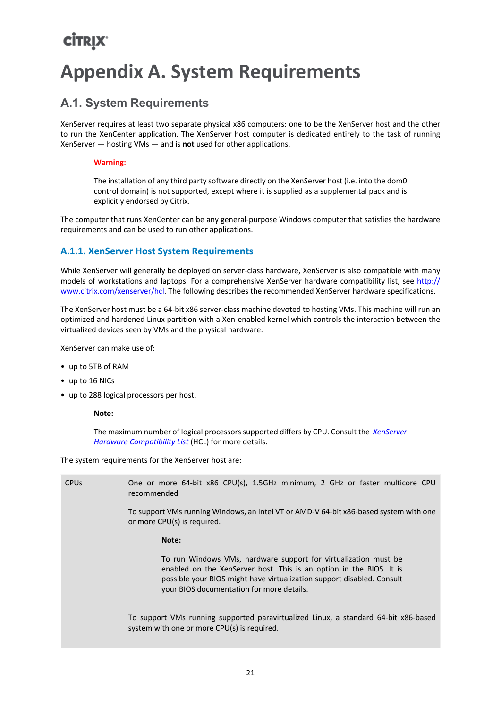## <span id="page-23-0"></span>**Appendix A. System Requirements**

### <span id="page-23-1"></span>**A.1. System Requirements**

XenServer requires at least two separate physical x86 computers: one to be the XenServer host and the other to run the XenCenter application. The XenServer host computer is dedicated entirely to the task of running XenServer — hosting VMs — and is **not** used for other applications.

#### **Warning:**

The installation of any third party software directly on the XenServer host (i.e. into the dom0 control domain) is not supported, except where it is supplied as a supplemental pack and is explicitly endorsed by Citrix.

The computer that runs XenCenter can be any general-purpose Windows computer that satisfies the hardware requirements and can be used to run other applications.

### <span id="page-23-2"></span>**A.1.1. XenServer Host System Requirements**

While XenServer will generally be deployed on server-class hardware, XenServer is also compatible with many models of workstations and laptops. For a comprehensive XenServer hardware compatibility list, see [http://](http://www.citrix.com/xenserver/hcl) [www.citrix.com/xenserver/hcl](http://www.citrix.com/xenserver/hcl). The following describes the recommended XenServer hardware specifications.

The XenServer host must be a 64-bit x86 server-class machine devoted to hosting VMs. This machine will run an optimized and hardened Linux partition with a Xen-enabled kernel which controls the interaction between the virtualized devices seen by VMs and the physical hardware.

XenServer can make use of:

- up to 5TB of RAM
- up to 16 NICs
- up to 288 logical processors per host.

#### **Note:**

The maximum number of logical processors supported differs by CPU. Consult the *[XenServer](http://www.citrix.com/xenserver/hcl) [Hardware Compatibility List](http://www.citrix.com/xenserver/hcl)* (HCL) for more details.

The system requirements for the XenServer host are:

| <b>CPU<sub>s</sub></b> | One or more 64-bit x86 CPU(s), 1.5GHz minimum, 2 GHz or faster multicore CPU<br>recommended                                                                                                                                                                   |
|------------------------|---------------------------------------------------------------------------------------------------------------------------------------------------------------------------------------------------------------------------------------------------------------|
|                        | To support VMs running Windows, an Intel VT or AMD-V 64-bit x86-based system with one<br>or more CPU(s) is required.                                                                                                                                          |
|                        | Note:                                                                                                                                                                                                                                                         |
|                        | To run Windows VMs, hardware support for virtualization must be<br>enabled on the XenServer host. This is an option in the BIOS. It is<br>possible your BIOS might have virtualization support disabled. Consult<br>your BIOS documentation for more details. |
|                        | To support VMs running supported paravirtualized Linux, a standard 64-bit x86-based<br>system with one or more CPU(s) is required.                                                                                                                            |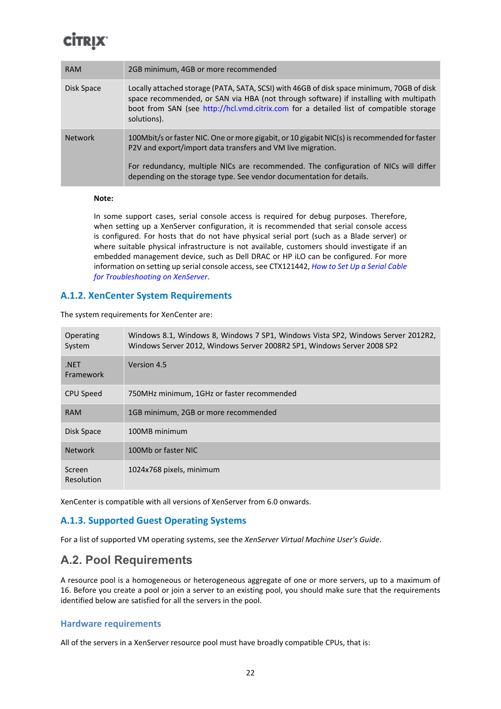| <b>RAM</b>     | 2GB minimum, 4GB or more recommended                                                                                                                                                                                                                                                        |
|----------------|---------------------------------------------------------------------------------------------------------------------------------------------------------------------------------------------------------------------------------------------------------------------------------------------|
| Disk Space     | Locally attached storage (PATA, SATA, SCSI) with 46GB of disk space minimum, 70GB of disk<br>space recommended, or SAN via HBA (not through software) if installing with multipath<br>boot from SAN (see http://hcl.vmd.citrix.com for a detailed list of compatible storage<br>solutions). |
| <b>Network</b> | 100Mbit/s or faster NIC. One or more gigabit, or 10 gigabit NIC(s) is recommended for faster<br>P2V and export/import data transfers and VM live migration.                                                                                                                                 |
|                | For redundancy, multiple NICs are recommended. The configuration of NICs will differ<br>depending on the storage type. See vendor documentation for details.                                                                                                                                |

#### **Note:**

In some support cases, serial console access is required for debug purposes. Therefore, when setting up a XenServer configuration, it is recommended that serial console access is configured. For hosts that do not have physical serial port (such as a Blade server) or where suitable physical infrastructure is not available, customers should investigate if an embedded management device, such as Dell DRAC or HP iLO can be configured. For more information on setting up serial console access, see CTX121442, *[How to Set Up a Serial Cable](http://support.citrix.com/article/CTX121442) [for Troubleshooting on XenServer](http://support.citrix.com/article/CTX121442)*.

#### <span id="page-24-0"></span>**A.1.2. XenCenter System Requirements**

The system requirements for XenCenter are:

| Operating<br>System      | Windows 8.1, Windows 8, Windows 7 SP1, Windows Vista SP2, Windows Server 2012R2,<br>Windows Server 2012, Windows Server 2008R2 SP1, Windows Server 2008 SP2 |
|--------------------------|-------------------------------------------------------------------------------------------------------------------------------------------------------------|
| .NET<br><b>Framework</b> | Version 4.5                                                                                                                                                 |
| CPU Speed                | 750MHz minimum, 1GHz or faster recommended                                                                                                                  |
| <b>RAM</b>               | 1GB minimum, 2GB or more recommended                                                                                                                        |
| Disk Space               | 100MB minimum                                                                                                                                               |
| <b>Network</b>           | 100Mb or faster NIC                                                                                                                                         |
| Screen<br>Resolution     | 1024x768 pixels, minimum                                                                                                                                    |

XenCenter is compatible with all versions of XenServer from 6.0 onwards.

#### <span id="page-24-1"></span>**A.1.3. Supported Guest Operating Systems**

For a list of supported VM operating systems, see the *XenServer Virtual Machine User's Guide*.

### <span id="page-24-2"></span>**A.2. Pool Requirements**

A resource pool is a homogeneous or heterogeneous aggregate of one or more servers, up to a maximum of 16. Before you create a pool or join a server to an existing pool, you should make sure that the requirements identified below are satisfied for all the servers in the pool.

#### **Hardware requirements**

All of the servers in a XenServer resource pool must have broadly compatible CPUs, that is: